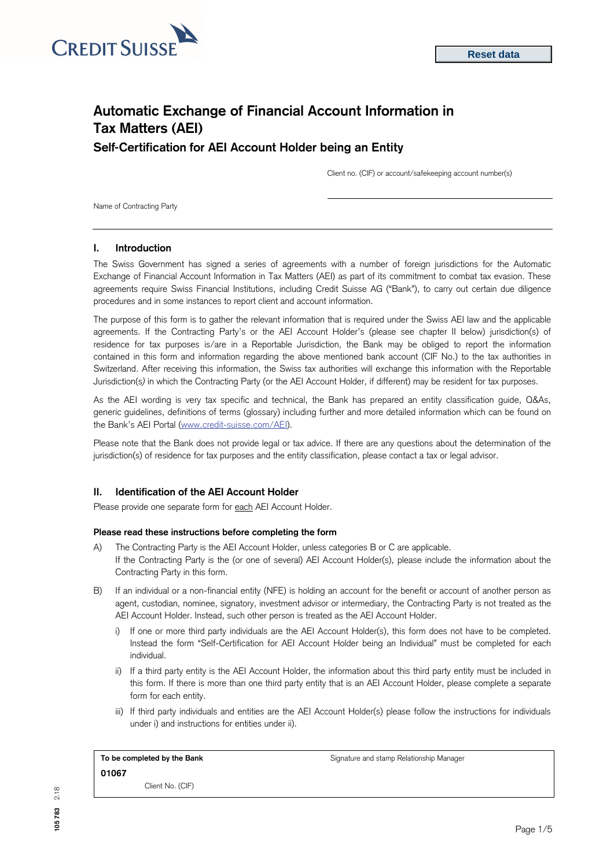

# **Automatic Exchange of Financial Account Information in Tax Matters (AEI) Self-Certification for AEI Account Holder being an Entity**

Client no. (CIF) or account/safekeeping account number(s)

Name of Contracting Party

## **I. Introduction**

The Swiss Government has signed a series of agreements with a number of foreign jurisdictions for the Automatic Exchange of Financial Account Information in Tax Matters (AEI) as part of its commitment to combat tax evasion. These agreements require Swiss Financial Institutions, including Credit Suisse AG ("Bank"), to carry out certain due diligence procedures and in some instances to report client and account information.

The purpose of this form is to gather the relevant information that is required under the Swiss AEI law and the applicable agreements. If the Contracting Party's or the AEI Account Holder's (please see chapter II below) jurisdiction(s) of residence for tax purposes is/are in a Reportable Jurisdiction, the Bank may be obliged to report the information contained in this form and information regarding the above mentioned bank account (CIF No.) to the tax authorities in Switzerland. After receiving this information, the Swiss tax authorities will exchange this information with the Reportable Jurisdiction(s*)* in which the Contracting Party (or the AEI Account Holder, if different) may be resident for tax purposes.

As the AEI wording is very tax specific and technical, the Bank has prepared an entity classification guide, Q&As, generic guidelines, definitions of terms (glossary) including further and more detailed information which can be found on the Bank's AEI Portal [\(www.credit-suisse.com/AEI\).](http://www.credit-suisse.com/AEI)

Please note that the Bank does not provide legal or tax advice. If there are any questions about the determination of the jurisdiction(s) of residence for tax purposes and the entity classification, please contact a tax or legal advisor.

# **II. Identification of the AEI Account Holder**

Please provide one separate form for each AEI Account Holder.

## **Please read these instructions before completing the form**

- A) The Contracting Party is the AEI Account Holder, unless categories B or C are applicable. If the Contracting Party is the (or one of several) AEI Account Holder(s), please include the information about the Contracting Party in this form.
- B) If an individual or a non-financial entity (NFE) is holding an account for the benefit or account of another person as agent, custodian, nominee, signatory, investment advisor or intermediary, the Contracting Party is not treated as the AEI Account Holder. Instead, such other person is treated as the AEI Account Holder.
	- i) If one or more third party individuals are the AEI Account Holder(s), this form does not have to be completed. Instead the form "Self-Certification for AEI Account Holder being an Individual" must be completed for each individual.
	- ii) If a third party entity is the AEI Account Holder, the information about this third party entity must be included in this form. If there is more than one third party entity that is an AEI Account Holder, please complete a separate form for each entity.
	- iii) If third party individuals and entities are the AEI Account Holder(s) please follow the instructions for individuals under i) and instructions for entities under ii).

| To be completed by the Bank | Signature and stamp Relationship Manager |  |  |  |  |  |
|-----------------------------|------------------------------------------|--|--|--|--|--|
| 01067                       |                                          |  |  |  |  |  |
| Client No. (CIF)            |                                          |  |  |  |  |  |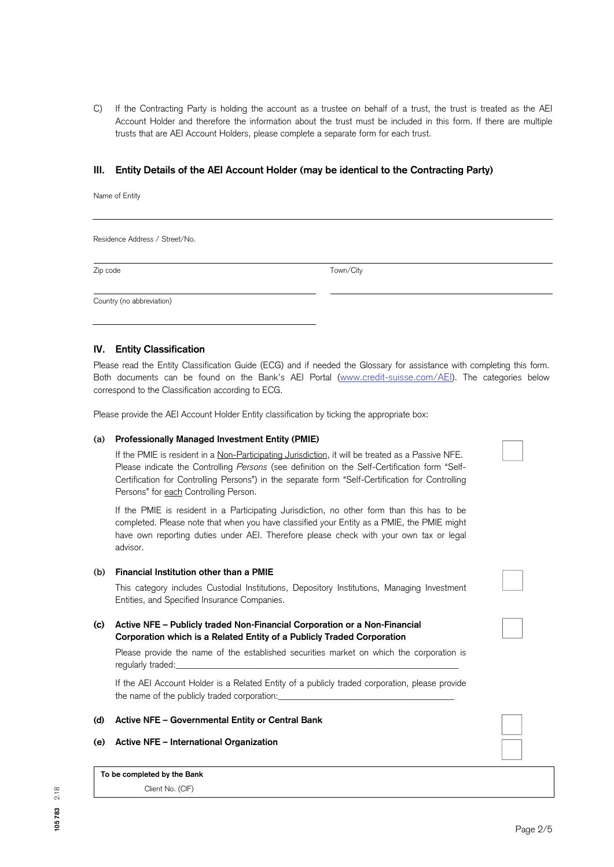C) If the Contracting Party is holding the account as a trustee on behalf of a trust, the trust is treated as the AEI Account Holder and therefore the information about the trust must be included in this form. If there are multiple trusts that are AEI Account Holders, please complete a separate form for each trust.

## **III. Entity Details of the AEI Account Holder (may be identical to the Contracting Party)**

Name of Entity

Residence Address / Street/No.

Zip code Town/City

Country (no abbreviation)

## **IV. Entity Classification**

Please read the Entity Classification Guide (ECG) and if needed the Glossary for assistance with completing this form. Both documents can be found on the Bank's AEI Portal [\(www.credit-suisse.com/AEI\).](http://www.credit-suisse.com/AEI) The categories below correspond to the Classification according to ECG.

Please provide the AEI Account Holder Entity classification by ticking the appropriate box:

#### **(a) Professionally Managed Investment Entity (PMIE)**

If the PMIE is resident in a Non-Participating Jurisdiction, it will be treated as a Passive NFE. Please indicate the Controlling *Persons* (see definition on the Self-Certification form "Self-Certification for Controlling Persons") in the separate form "Self-Certification for Controlling Persons" for each Controlling Person.

If the PMIE is resident in a Participating Jurisdiction, no other form than this has to be completed. Please note that when you have classified your Entity as a PMIE, the PMIE might have own reporting duties under AEI. Therefore please check with your own tax or legal advisor.

#### **(b) Financial Institution other than a PMIE**

This category includes Custodial Institutions, Depository Institutions, Managing Investment Entities, and Specified Insurance Companies.

## **(c) Active NFE – Publicly traded Non-Financial Corporation or a Non-Financial Corporation which is a Related Entity of a Publicly Traded Corporation**

Please provide the name of the established securities market on which the corporation is regularly traded:

If the AEI Account Holder is a Related Entity of a publicly traded corporation, please provide the name of the publicly traded corporation:

#### **(d) Active NFE – Governmental Entity or Central Bank**

## **(e) Active NFE – International Organization**

**To be completed by the Bank** Client No. (CIF)

**105 783** 2.18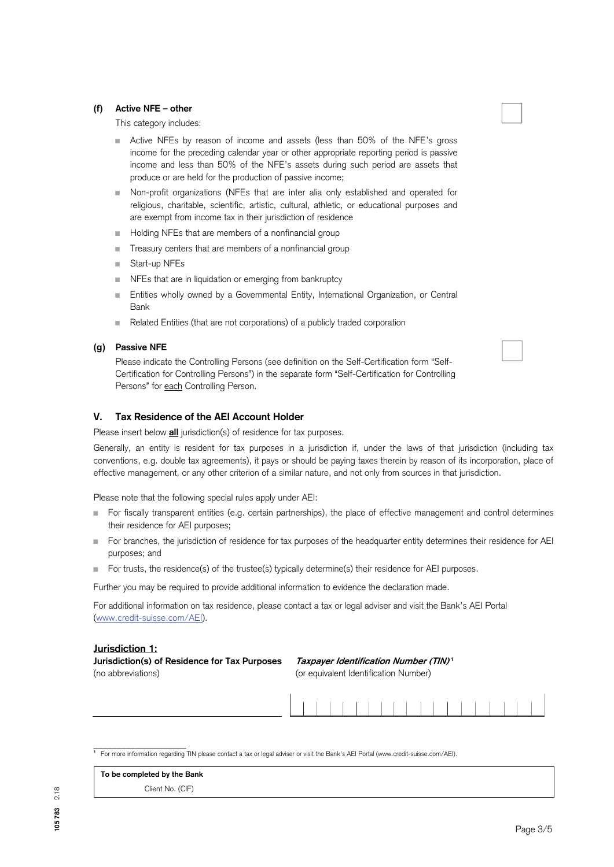## **(f) Active NFE – other**

This category includes:

- Active NFEs by reason of income and assets (less than 50% of the NFE's gross income for the preceding calendar year or other appropriate reporting period is passive income and less than 50% of the NFE's assets during such period are assets that produce or are held for the production of passive income;
- Non-profit organizations (NFEs that are inter alia only established and operated for religious, charitable, scientific, artistic, cultural, athletic, or educational purposes and are exempt from income tax in their jurisdiction of residence
- Holding NFEs that are members of a nonfinancial group
- Treasury centers that are members of a nonfinancial group
- Start-up NFEs
- NFEs that are in liquidation or emerging from bankruptcy
- Entities wholly owned by a Governmental Entity, International Organization, or Central Bank
- Related Entities (that are not corporations) of a publicly traded corporation

#### **(g) Passive NFE**

Please indicate the Controlling Persons (see definition on the Self-Certification form "Self-Certification for Controlling Persons") in the separate form "Self-Certification for Controlling Persons" for each Controlling Person.

## **V. Tax Residence of the AEI Account Holder**

Please insert below **all** jurisdiction(s) of residence for tax purposes.

Generally, an entity is resident for tax purposes in a jurisdiction if, under the laws of that jurisdiction (including tax conventions, e.g. double tax agreements), it pays or should be paying taxes therein by reason of its incorporation, place of effective management, or any other criterion of a similar nature, and not only from sources in that jurisdiction.

Please note that the following special rules apply under AEI:

- For fiscally transparent entities (e.g. certain partnerships), the place of effective management and control determines their residence for AEI purposes;
- For branches, the jurisdiction of residence for tax purposes of the headquarter entity determines their residence for AEI purposes; and
- For trusts, the residence(s) of the trustee(s) typically determine(s) their residence for AEI purposes.

Further you may be required to provide additional information to evidence the declaration made.

For additional information on tax residence, please contact a tax or legal adviser and visit the Bank's AEI Portal [\(www.credit-suisse.com/AEI\).](http://www.credit-suisse.com/AEI) 

## **Jurisdiction 1:**

**Jurisdiction(s) of Residence for Tax Purposes Taxpayer Identification Number (TIN)<sup>1</sup>** (no abbreviations) (or equivalent Identification Number)



| To be completed by the Bank |  |
|-----------------------------|--|
| Client No. (CIF)            |  |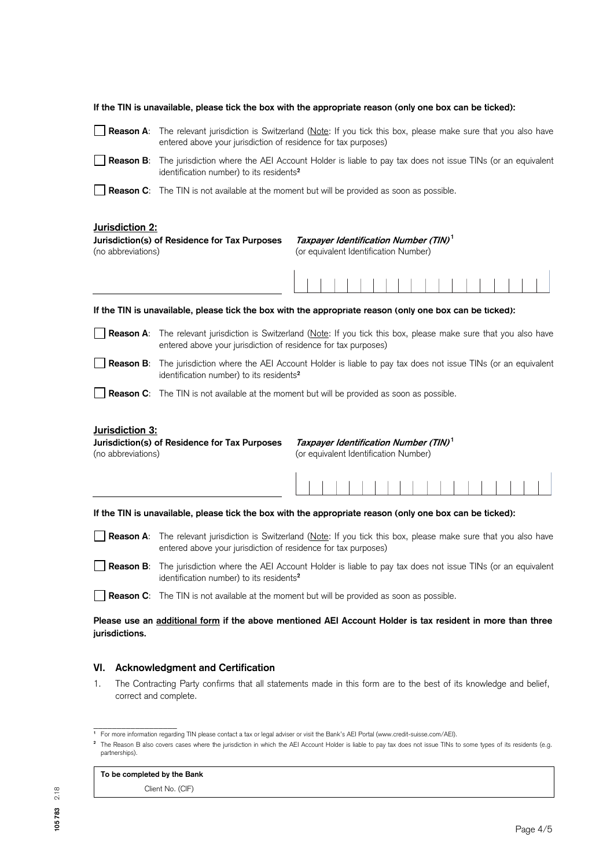|                                                                                                                                                                                      | If the TIN is unavailable, please tick the box with the appropriate reason (only one box can be ticked):                                                                              |                                                                                            |  |  |  |  |  |  |  |  |
|--------------------------------------------------------------------------------------------------------------------------------------------------------------------------------------|---------------------------------------------------------------------------------------------------------------------------------------------------------------------------------------|--------------------------------------------------------------------------------------------|--|--|--|--|--|--|--|--|
| Reason A:                                                                                                                                                                            | The relevant jurisdiction is Switzerland (Note: If you tick this box, please make sure that you also have<br>entered above your jurisdiction of residence for tax purposes)           |                                                                                            |  |  |  |  |  |  |  |  |
| Reason B:                                                                                                                                                                            | The jurisdiction where the AEI Account Holder is liable to pay tax does not issue TINs (or an equivalent<br>identification number) to its residents <sup>2</sup>                      |                                                                                            |  |  |  |  |  |  |  |  |
|                                                                                                                                                                                      | <b>Reason C:</b> The TIN is not available at the moment but will be provided as soon as possible.                                                                                     |                                                                                            |  |  |  |  |  |  |  |  |
| Jurisdiction 2:<br>(no abbreviations)                                                                                                                                                | Jurisdiction(s) of Residence for Tax Purposes                                                                                                                                         | Taxpayer Identification Number (TIN) <sup>1</sup><br>(or equivalent Identification Number) |  |  |  |  |  |  |  |  |
|                                                                                                                                                                                      |                                                                                                                                                                                       |                                                                                            |  |  |  |  |  |  |  |  |
|                                                                                                                                                                                      | If the TIN is unavailable, please tick the box with the appropriate reason (only one box can be ticked):                                                                              |                                                                                            |  |  |  |  |  |  |  |  |
|                                                                                                                                                                                      | Reason A: The relevant jurisdiction is Switzerland (Note: If you tick this box, please make sure that you also have<br>entered above your jurisdiction of residence for tax purposes) |                                                                                            |  |  |  |  |  |  |  |  |
| Reason B:                                                                                                                                                                            | The jurisdiction where the AEI Account Holder is liable to pay tax does not issue TINs (or an equivalent<br>identification number) to its residents <sup>2</sup>                      |                                                                                            |  |  |  |  |  |  |  |  |
|                                                                                                                                                                                      | <b>Reason C:</b> The TIN is not available at the moment but will be provided as soon as possible.                                                                                     |                                                                                            |  |  |  |  |  |  |  |  |
| Jurisdiction 3:<br>Jurisdiction(s) of Residence for Tax Purposes<br>Taxpayer Identification Number (TIN) <sup>1</sup><br>(no abbreviations)<br>(or equivalent Identification Number) |                                                                                                                                                                                       |                                                                                            |  |  |  |  |  |  |  |  |
|                                                                                                                                                                                      |                                                                                                                                                                                       |                                                                                            |  |  |  |  |  |  |  |  |
|                                                                                                                                                                                      | If the TIN is unavailable, please tick the box with the appropriate reason (only one box can be ticked):                                                                              |                                                                                            |  |  |  |  |  |  |  |  |
| Reason A:                                                                                                                                                                            | The relevant jurisdiction is Switzerland (Note: If you tick this box, please make sure that you also have<br>entered above your jurisdiction of residence for tax purposes)           |                                                                                            |  |  |  |  |  |  |  |  |
| Reason B: The jurisdiction where the AEI Account Holder is liable to pay tax does not issue TINs (or an equivalent<br>identification number) to its residents <sup>2</sup>           |                                                                                                                                                                                       |                                                                                            |  |  |  |  |  |  |  |  |
| <b>Reason C:</b> The TIN is not available at the moment but will be provided as soon as possible.                                                                                    |                                                                                                                                                                                       |                                                                                            |  |  |  |  |  |  |  |  |
| Please use an additional form if the above mentioned AEI Account Holder is tax resident in more than three<br>jurisdictions.                                                         |                                                                                                                                                                                       |                                                                                            |  |  |  |  |  |  |  |  |
| VI.                                                                                                                                                                                  | <b>Acknowledgment and Certification</b>                                                                                                                                               |                                                                                            |  |  |  |  |  |  |  |  |
| The Contracting Party confirms that all statements made in this form are to the best of its knowledge and belief,<br>1.<br>correct and complete.                                     |                                                                                                                                                                                       |                                                                                            |  |  |  |  |  |  |  |  |

## **To be completed by the Bank**

Client No. (CIF)

\_\_\_\_\_\_\_\_\_\_\_\_\_\_\_\_\_\_ **1** For more information regarding TIN please contact a tax or legal adviser or visit the Bank's AEI Portal (www.credit-suisse.com/AEI).

**<sup>2</sup>** The Reason B also covers cases where the jurisdiction in which the AEI Account Holder is liable to pay tax does not issue TINs to some types of its residents (e.g. partnerships).